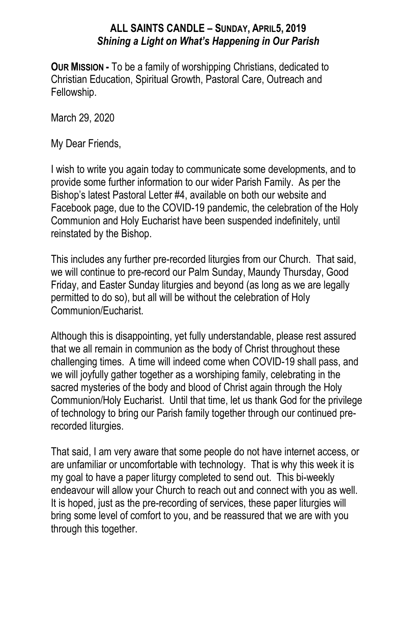# **ALL SAINTS CANDLE – SUNDAY, APRIL5, 2019** *Shining a Light on What's Happening in Our Parish*

**OUR MISSION -** To be a family of worshipping Christians, dedicated to Christian Education, Spiritual Growth, Pastoral Care, Outreach and Fellowship.

March 29, 2020

My Dear Friends,

I wish to write you again today to communicate some developments, and to provide some further information to our wider Parish Family. As per the Bishop's latest Pastoral Letter #4, available on both our website and Facebook page, due to the COVID-19 pandemic, the celebration of the Holy Communion and Holy Eucharist have been suspended indefinitely, until reinstated by the Bishop.

This includes any further pre-recorded liturgies from our Church. That said, we will continue to pre-record our Palm Sunday, Maundy Thursday, Good Friday, and Easter Sunday liturgies and beyond (as long as we are legally permitted to do so), but all will be without the celebration of Holy Communion/Eucharist.

Although this is disappointing, yet fully understandable, please rest assured that we all remain in communion as the body of Christ throughout these challenging times. A time will indeed come when COVID-19 shall pass, and we will joyfully gather together as a worshiping family, celebrating in the sacred mysteries of the body and blood of Christ again through the Holy Communion/Holy Eucharist. Until that time, let us thank God for the privilege of technology to bring our Parish family together through our continued prerecorded liturgies.

That said, I am very aware that some people do not have internet access, or are unfamiliar or uncomfortable with technology. That is why this week it is my goal to have a paper liturgy completed to send out. This bi-weekly endeavour will allow your Church to reach out and connect with you as well. It is hoped, just as the pre-recording of services, these paper liturgies will bring some level of comfort to you, and be reassured that we are with you through this together.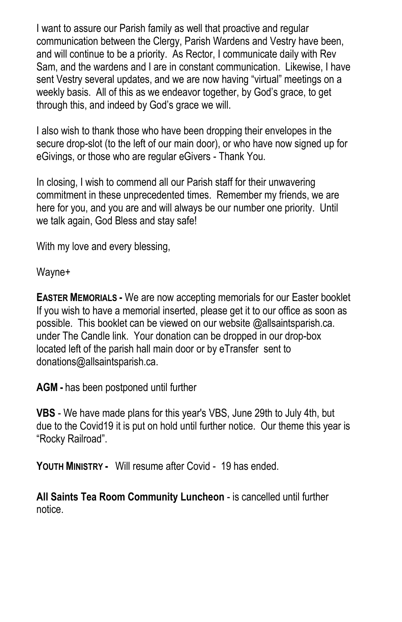I want to assure our Parish family as well that proactive and regular communication between the Clergy, Parish Wardens and Vestry have been, and will continue to be a priority. As Rector, I communicate daily with Rev Sam, and the wardens and I are in constant communication. Likewise, I have sent Vestry several updates, and we are now having "virtual" meetings on a weekly basis. All of this as we endeavor together, by God's grace, to get through this, and indeed by God's grace we will.

I also wish to thank those who have been dropping their envelopes in the secure drop-slot (to the left of our main door), or who have now signed up for eGivings, or those who are regular eGivers - Thank You.

In closing, I wish to commend all our Parish staff for their unwavering commitment in these unprecedented times. Remember my friends, we are here for you, and you are and will always be our number one priority. Until we talk again, God Bless and stay safe!

With my love and every blessing,

Wayne+

**EASTER MEMORIALS -** We are now accepting memorials for our Easter booklet If you wish to have a memorial inserted, please get it to our office as soon as possible. This booklet can be viewed on our website @allsaintsparish.ca. under The Candle link. Your donation can be dropped in our drop-box located left of the parish hall main door or by eTransfer sent to donations@allsaintsparish.ca.

**AGM -** has been postponed until further

**VBS** - We have made plans for this year's VBS, June 29th to July 4th, but due to the Covid19 it is put on hold until further notice. Our theme this year is "Rocky Railroad".

**YOUTH MINISTRY -** Will resume after Covid - 19 has ended.

**All Saints Tea Room Community Luncheon** - is cancelled until further notice.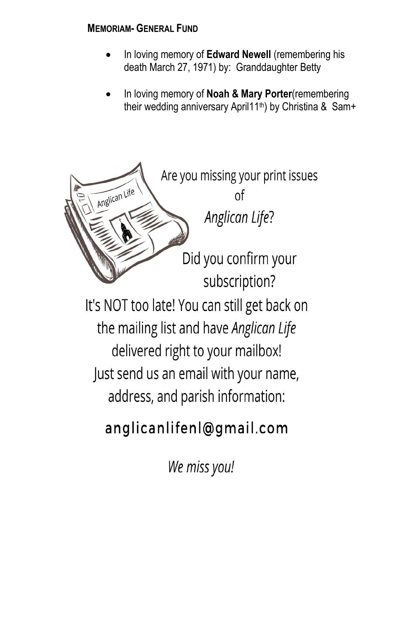## **MEMORIAM- GENERAL FUND**

- In loving memory of **Edward Newell** (remembering his death March 27, 1971) by: Granddaughter Betty
- In loving memory of **Noah & Mary Porter**(remembering their wedding anniversary April11<sup>th</sup>) by Christina & Sam+



We miss you!